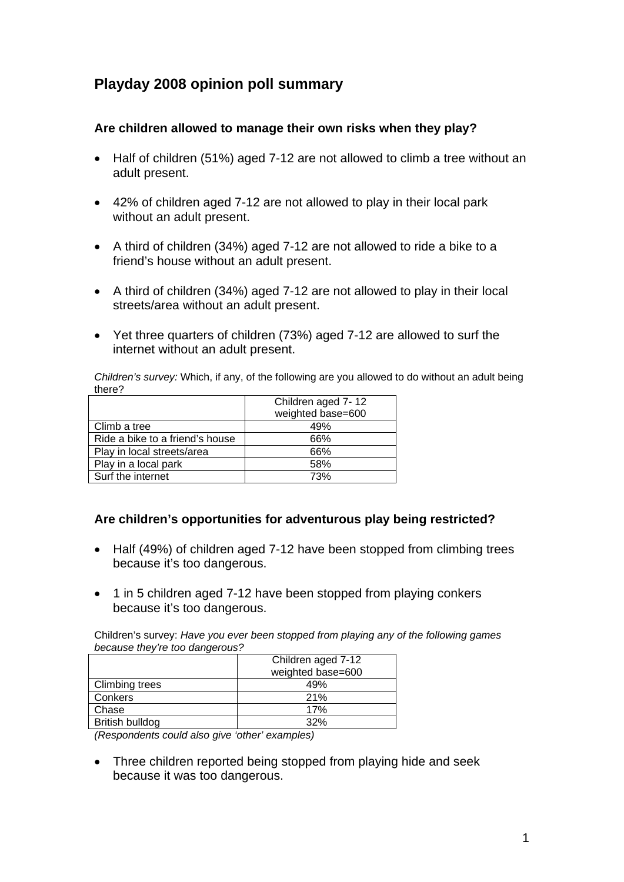# **Playday 2008 opinion poll summary**

## **Are children allowed to manage their own risks when they play?**

- Half of children (51%) aged 7-12 are not allowed to climb a tree without an adult present.
- 42% of children aged 7-12 are not allowed to play in their local park without an adult present.
- A third of children (34%) aged 7-12 are not allowed to ride a bike to a friend's house without an adult present.
- A third of children (34%) aged 7-12 are not allowed to play in their local streets/area without an adult present.
- Yet three quarters of children (73%) aged 7-12 are allowed to surf the internet without an adult present.

*Children's survey:* Which, if any, of the following are you allowed to do without an adult being there?

|                                 | Children aged 7-12 |  |
|---------------------------------|--------------------|--|
|                                 | weighted base=600  |  |
| Climb a tree                    | 49%                |  |
| Ride a bike to a friend's house | 66%                |  |
| Play in local streets/area      | 66%                |  |
| Play in a local park            | 58%                |  |
| Surf the internet               | 73%                |  |

### **Are children's opportunities for adventurous play being restricted?**

- Half (49%) of children aged 7-12 have been stopped from climbing trees because it's too dangerous.
- 1 in 5 children aged 7-12 have been stopped from playing conkers because it's too dangerous.

Children's survey: *Have you ever been stopped from playing any of the following games because they're too dangerous?*

|                       | Children aged 7-12 |
|-----------------------|--------------------|
|                       | weighted base=600  |
| <b>Climbing trees</b> | 49%                |
| Conkers               | 21%                |
| Chase                 | 17%                |
| British bulldog       | 32%                |

*(Respondents could also give 'other' examples)* 

• Three children reported being stopped from playing hide and seek because it was too dangerous.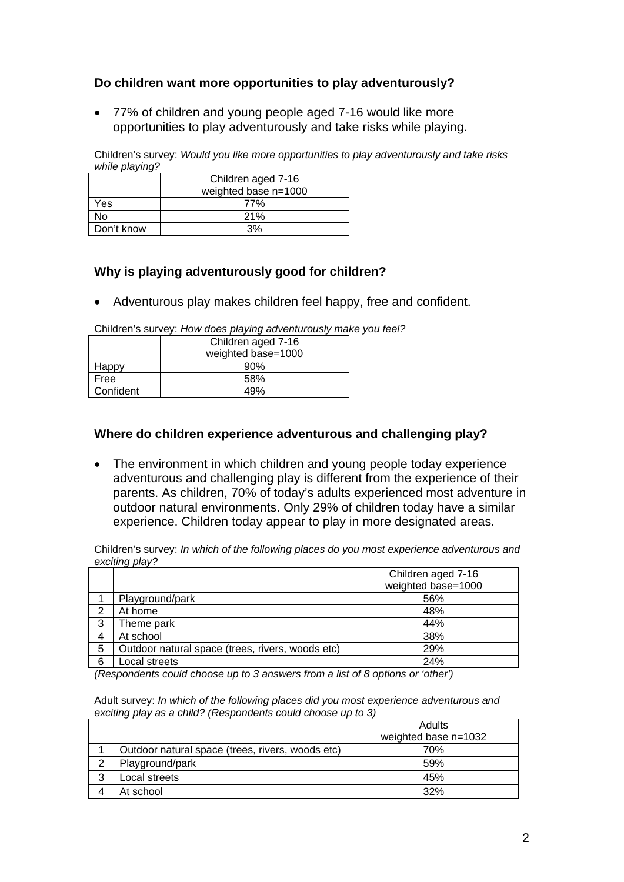# **Do children want more opportunities to play adventurously?**

• 77% of children and young people aged 7-16 would like more opportunities to play adventurously and take risks while playing.

Children's survey: *Would you like more opportunities to play adventurously and take risks while playing?*

|            | Children aged 7-16   |  |
|------------|----------------------|--|
|            | weighted base n=1000 |  |
| Yes        | 77%                  |  |
| N٥         | 21%                  |  |
| Don't know | 3%                   |  |

# **Why is playing adventurously good for children?**

• Adventurous play makes children feel happy, free and confident.

Children's survey: *How does playing adventurously make you feel?*

|           | Children aged 7-16 |  |
|-----------|--------------------|--|
|           | weighted base=1000 |  |
| Happy     | 90%                |  |
| Free      | 58%                |  |
| Confident | 49%                |  |

### **Where do children experience adventurous and challenging play?**

• The environment in which children and young people today experience adventurous and challenging play is different from the experience of their parents. As children, 70% of today's adults experienced most adventure in outdoor natural environments. Only 29% of children today have a similar experience. Children today appear to play in more designated areas.

Children's survey: *In which of the following places do you most experience adventurous and exciting play?* 

|   |                                                  | Children aged 7-16 |
|---|--------------------------------------------------|--------------------|
|   |                                                  | weighted base=1000 |
|   | Playground/park                                  | 56%                |
| ◠ | At home                                          | 48%                |
| 3 | Theme park                                       | 44%                |
| 4 | At school                                        | 38%                |
| 5 | Outdoor natural space (trees, rivers, woods etc) | 29%                |
| 6 | Local streets                                    | 24%                |

*(Respondents could choose up to 3 answers from a list of 8 options or 'other')*

Adult survey: *In which of the following places did you most experience adventurous and exciting play as a child? (Respondents could choose up to 3)*

|   |                                                  | Adults<br>weighted base n=1032 |
|---|--------------------------------------------------|--------------------------------|
|   | Outdoor natural space (trees, rivers, woods etc) | 70%                            |
|   | Playground/park                                  | 59%                            |
| 3 | Local streets                                    | 45%                            |
|   | At school                                        | 32%                            |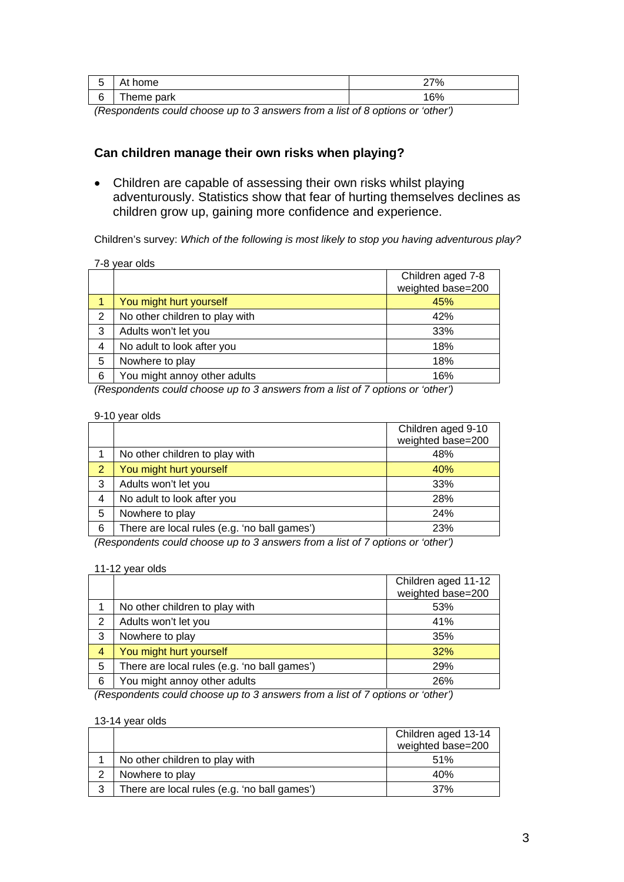| ັ | At<br>home | 270/<br>70 |
|---|------------|------------|
| 6 | heme park  | CO<br>∣0%  |

*(Respondents could choose up to 3 answers from a list of 8 options or 'other')*

### **Can children manage their own risks when playing?**

• Children are capable of assessing their own risks whilst playing adventurously. Statistics show that fear of hurting themselves declines as children grow up, gaining more confidence and experience.

Children's survey: *Which of the following is most likely to stop you having adventurous play?* 

| 7-8 year olds |  |  |
|---------------|--|--|
|---------------|--|--|

|   |                                | Children aged 7-8<br>weighted base=200 |
|---|--------------------------------|----------------------------------------|
|   | You might hurt yourself        | 45%                                    |
| 2 | No other children to play with | 42%                                    |
| 3 | Adults won't let you           | 33%                                    |
| 4 | No adult to look after you     | 18%                                    |
| 5 | Nowhere to play                | 18%                                    |
| 6 | You might annoy other adults   | 16%                                    |

*(Respondents could choose up to 3 answers from a list of 7 options or 'other')*

|                          | 9-10 year olds                               |                                         |
|--------------------------|----------------------------------------------|-----------------------------------------|
|                          |                                              | Children aged 9-10<br>weighted base=200 |
|                          | No other children to play with               | 48%                                     |
| 2                        | You might hurt yourself                      | 40%                                     |
| 3                        | Adults won't let you                         | 33%                                     |
| 4                        | No adult to look after you                   | 28%                                     |
| 5                        | Nowhere to play                              | 24%                                     |
| 6                        | There are local rules (e.g. 'no ball games') | 23%                                     |
| $\overline{\phantom{0}}$ |                                              | $\sim$ $\sim$ $\sim$                    |

*(Respondents could choose up to 3 answers from a list of 7 options or 'other')* 

#### 11-12 year olds

|   |                                              | Children aged 11-12 |
|---|----------------------------------------------|---------------------|
|   |                                              | weighted base=200   |
|   | No other children to play with               | 53%                 |
| 2 | Adults won't let you                         | 41%                 |
| 3 | Nowhere to play                              | 35%                 |
| 4 | You might hurt yourself                      | 32%                 |
| 5 | There are local rules (e.g. 'no ball games') | 29%                 |
| 6 | You might annoy other adults                 | 26%                 |
|   |                                              |                     |

*(Respondents could choose up to 3 answers from a list of 7 options or 'other')* 

|   |                                              | Children aged 13-14 |
|---|----------------------------------------------|---------------------|
|   |                                              | weighted base=200   |
|   | No other children to play with               | 51%                 |
|   | Nowhere to play                              | 40%                 |
| 3 | There are local rules (e.g. 'no ball games') | 37%                 |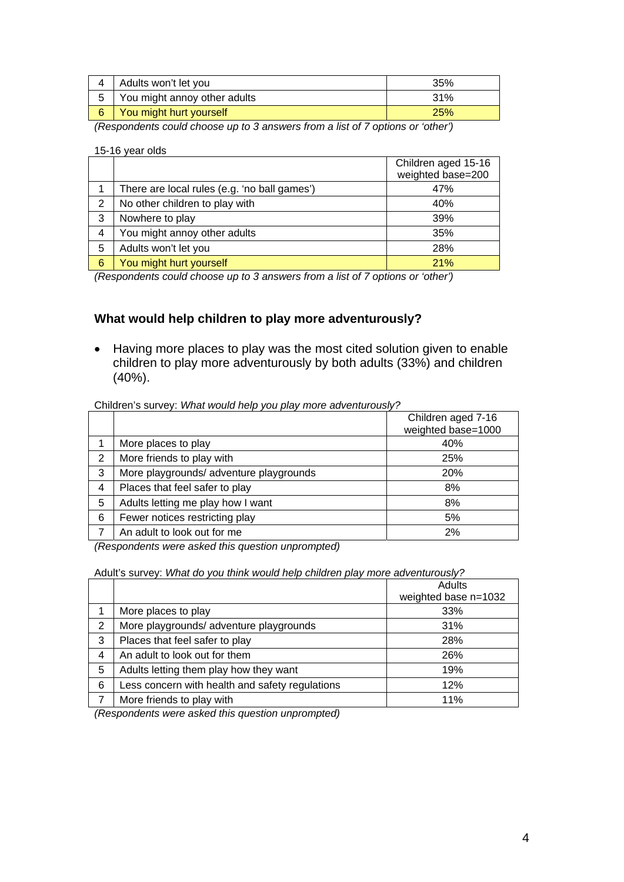| Adults won't let you         | 35%        |
|------------------------------|------------|
| You might annoy other adults | 31%        |
| You might hurt yourself      | <b>25%</b> |

*(Respondents could choose up to 3 answers from a list of 7 options or 'other')* 

#### 15-16 year olds

|   |                                              | Children aged 15-16<br>weighted base=200 |
|---|----------------------------------------------|------------------------------------------|
|   | There are local rules (e.g. 'no ball games') | 47%                                      |
| 2 | No other children to play with               | 40%                                      |
| 3 | Nowhere to play                              | 39%                                      |
| 4 | You might annoy other adults                 | 35%                                      |
| 5 | Adults won't let you                         | 28%                                      |
| 6 | You might hurt yourself                      | 21%                                      |

*(Respondents could choose up to 3 answers from a list of 7 options or 'other')*

### **What would help children to play more adventurously?**

• Having more places to play was the most cited solution given to enable children to play more adventurously by both adults (33%) and children (40%).

#### Children's survey: *What would help you play more adventurously?*

|   |                                         | Children aged 7-16 |
|---|-----------------------------------------|--------------------|
|   |                                         | weighted base=1000 |
|   | More places to play                     | 40%                |
| 2 | More friends to play with               | 25%                |
| 3 | More playgrounds/ adventure playgrounds | 20%                |
| 4 | Places that feel safer to play          | 8%                 |
| 5 | Adults letting me play how I want       | 8%                 |
| 6 | Fewer notices restricting play          | 5%                 |
|   | An adult to look out for me             | 2%                 |

*(Respondents were asked this question unprompted)*

#### Adult's survey: *What do you think would help children play more adventurously?*

|   |                                                 | Adults               |
|---|-------------------------------------------------|----------------------|
|   |                                                 | weighted base n=1032 |
|   | More places to play                             | 33%                  |
| 2 | More playgrounds/ adventure playgrounds         | 31%                  |
| 3 | Places that feel safer to play                  | 28%                  |
| 4 | An adult to look out for them                   | 26%                  |
| 5 | Adults letting them play how they want          | 19%                  |
| 6 | Less concern with health and safety regulations | 12%                  |
|   | More friends to play with                       | 11%                  |

*(Respondents were asked this question unprompted)*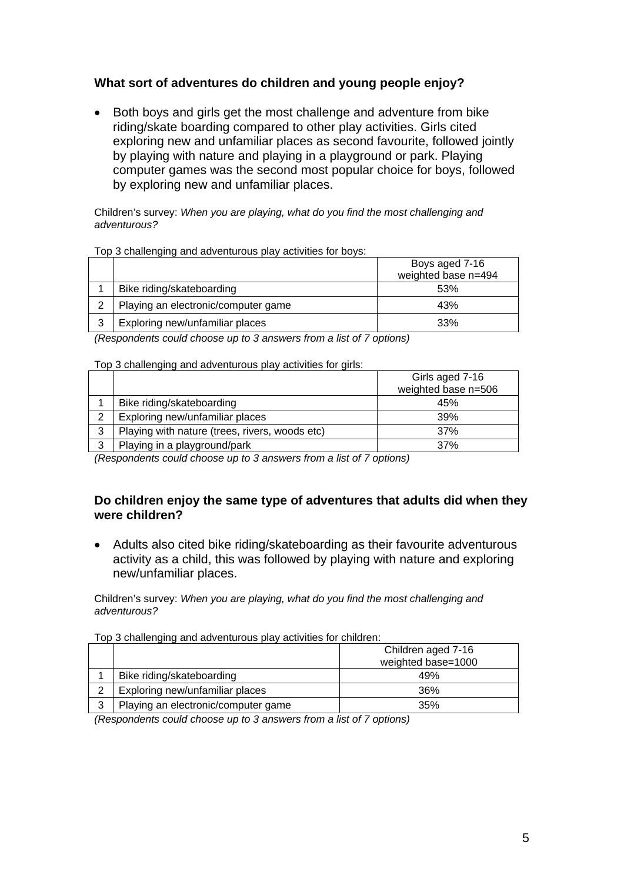# **What sort of adventures do children and young people enjoy?**

• Both boys and girls get the most challenge and adventure from bike riding/skate boarding compared to other play activities. Girls cited exploring new and unfamiliar places as second favourite, followed jointly by playing with nature and playing in a playground or park. Playing computer games was the second most popular choice for boys, followed by exploring new and unfamiliar places.

Children's survey: *When you are playing, what do you find the most challenging and adventurous?*

|                          | TOP O original and advocitatious play abuvities for boys. | Boys aged 7-16<br>weighted base n=494 |
|--------------------------|-----------------------------------------------------------|---------------------------------------|
|                          | Bike riding/skateboarding                                 | 53%                                   |
| 2                        | Playing an electronic/computer game                       | 43%                                   |
| 3                        | Exploring new/unfamiliar places                           | 33%                                   |
| $\overline{\phantom{0}}$ | $\cdots$ $\cdots$                                         |                                       |

Top 3 challenging and adventurous play activities for boys:

*(Respondents could choose up to 3 answers from a list of 7 options)*

#### Top 3 challenging and adventurous play activities for girls:

|   | Girls aged 7-16                                |                     |
|---|------------------------------------------------|---------------------|
|   |                                                | weighted base n=506 |
|   | Bike riding/skateboarding                      | 45%                 |
| ⌒ | Exploring new/unfamiliar places                | 39%                 |
| 3 | Playing with nature (trees, rivers, woods etc) | 37%                 |
| ર | Playing in a playground/park                   | 37%                 |

*(Respondents could choose up to 3 answers from a list of 7 options)*

#### **Do children enjoy the same type of adventures that adults did when they were children?**

• Adults also cited bike riding/skateboarding as their favourite adventurous activity as a child, this was followed by playing with nature and exploring new/unfamiliar places.

Children's survey: *When you are playing, what do you find the most challenging and adventurous?* 

Top 3 challenging and adventurous play activities for children:

|   |                                     | Children aged 7-16 |
|---|-------------------------------------|--------------------|
|   |                                     | weighted base=1000 |
|   | Bike riding/skateboarding           | 49%                |
| ⌒ | Exploring new/unfamiliar places     | 36%                |
| 3 | Playing an electronic/computer game | 35%                |

*(Respondents could choose up to 3 answers from a list of 7 options)*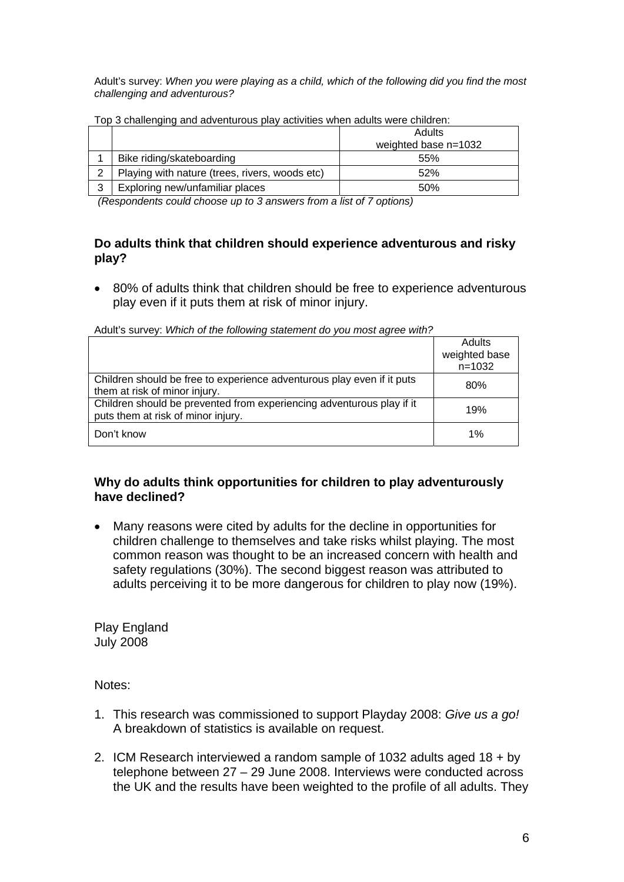Adult's survey: *When you were playing as a child, which of the following did you find the most challenging and adventurous?* 

|   | $\sim$ 0.10.10.19.19.19.00.10.00.10.11.00.10.10.10.11 |                        |  |  |
|---|-------------------------------------------------------|------------------------|--|--|
|   |                                                       | Adults                 |  |  |
|   |                                                       | weighted base $n=1032$ |  |  |
|   | Bike riding/skateboarding                             | 55%                    |  |  |
|   | Playing with nature (trees, rivers, woods etc)        | 52%                    |  |  |
| 3 | Exploring new/unfamiliar places                       | 50%                    |  |  |

Top 3 challenging and adventurous play activities when adults were children:

*(Respondents could choose up to 3 answers from a list of 7 options)*

#### **Do adults think that children should experience adventurous and risky play?**

• 80% of adults think that children should be free to experience adventurous play even if it puts them at risk of minor injury.

|                                                                                                             | Adults        |
|-------------------------------------------------------------------------------------------------------------|---------------|
|                                                                                                             | weighted base |
|                                                                                                             | $n = 1032$    |
| Children should be free to experience adventurous play even if it puts                                      | 80%           |
| them at risk of minor injury.                                                                               |               |
| Children should be prevented from experiencing adventurous play if it<br>puts them at risk of minor injury. | 19%           |
|                                                                                                             |               |
| Don't know                                                                                                  | 1%            |

Adult's survey: *Which of the following statement do you most agree with?*

### **Why do adults think opportunities for children to play adventurously have declined?**

• Many reasons were cited by adults for the decline in opportunities for children challenge to themselves and take risks whilst playing. The most common reason was thought to be an increased concern with health and safety regulations (30%). The second biggest reason was attributed to adults perceiving it to be more dangerous for children to play now (19%).

Play England July 2008

Notes:

- 1. This research was commissioned to support Playday 2008: *Give us a go!* A breakdown of statistics is available on request.
- 2. ICM Research interviewed a random sample of 1032 adults aged 18 + by telephone between 27 – 29 June 2008. Interviews were conducted across the UK and the results have been weighted to the profile of all adults. They